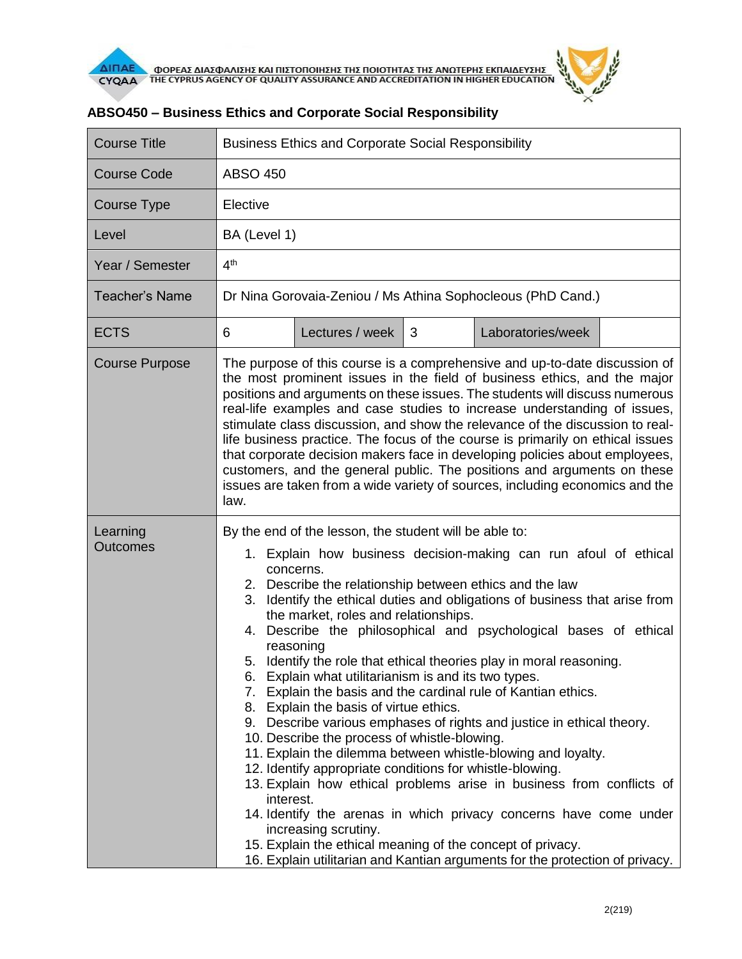

| <b>Course Title</b>         | <b>Business Ethics and Corporate Social Responsibility</b>                                                                                                                                                                                                                                                                                                                                                                                                                                                                                                                                                                                                                                                                                                                                                                                                                                                                                                                                                                                                                                                                                                                                                                                  |                 |   |                   |  |  |
|-----------------------------|---------------------------------------------------------------------------------------------------------------------------------------------------------------------------------------------------------------------------------------------------------------------------------------------------------------------------------------------------------------------------------------------------------------------------------------------------------------------------------------------------------------------------------------------------------------------------------------------------------------------------------------------------------------------------------------------------------------------------------------------------------------------------------------------------------------------------------------------------------------------------------------------------------------------------------------------------------------------------------------------------------------------------------------------------------------------------------------------------------------------------------------------------------------------------------------------------------------------------------------------|-----------------|---|-------------------|--|--|
| Course Code                 | <b>ABSO 450</b>                                                                                                                                                                                                                                                                                                                                                                                                                                                                                                                                                                                                                                                                                                                                                                                                                                                                                                                                                                                                                                                                                                                                                                                                                             |                 |   |                   |  |  |
| Course Type                 | Elective                                                                                                                                                                                                                                                                                                                                                                                                                                                                                                                                                                                                                                                                                                                                                                                                                                                                                                                                                                                                                                                                                                                                                                                                                                    |                 |   |                   |  |  |
| Level                       | BA (Level 1)                                                                                                                                                                                                                                                                                                                                                                                                                                                                                                                                                                                                                                                                                                                                                                                                                                                                                                                                                                                                                                                                                                                                                                                                                                |                 |   |                   |  |  |
| Year / Semester             | 4 <sup>th</sup>                                                                                                                                                                                                                                                                                                                                                                                                                                                                                                                                                                                                                                                                                                                                                                                                                                                                                                                                                                                                                                                                                                                                                                                                                             |                 |   |                   |  |  |
| <b>Teacher's Name</b>       | Dr Nina Gorovaia-Zeniou / Ms Athina Sophocleous (PhD Cand.)                                                                                                                                                                                                                                                                                                                                                                                                                                                                                                                                                                                                                                                                                                                                                                                                                                                                                                                                                                                                                                                                                                                                                                                 |                 |   |                   |  |  |
| <b>ECTS</b>                 | 6                                                                                                                                                                                                                                                                                                                                                                                                                                                                                                                                                                                                                                                                                                                                                                                                                                                                                                                                                                                                                                                                                                                                                                                                                                           | Lectures / week | 3 | Laboratories/week |  |  |
| <b>Course Purpose</b>       | The purpose of this course is a comprehensive and up-to-date discussion of<br>the most prominent issues in the field of business ethics, and the major<br>positions and arguments on these issues. The students will discuss numerous<br>real-life examples and case studies to increase understanding of issues,<br>stimulate class discussion, and show the relevance of the discussion to real-<br>life business practice. The focus of the course is primarily on ethical issues<br>that corporate decision makers face in developing policies about employees,<br>customers, and the general public. The positions and arguments on these<br>issues are taken from a wide variety of sources, including economics and the<br>law.                                                                                                                                                                                                                                                                                                                                                                                                                                                                                                      |                 |   |                   |  |  |
| Learning<br><b>Outcomes</b> | By the end of the lesson, the student will be able to:<br>1. Explain how business decision-making can run afoul of ethical<br>concerns.<br>2. Describe the relationship between ethics and the law<br>3. Identify the ethical duties and obligations of business that arise from<br>the market, roles and relationships.<br>4. Describe the philosophical and psychological bases of ethical<br>reasoning<br>5. Identify the role that ethical theories play in moral reasoning.<br>6. Explain what utilitarianism is and its two types.<br>Explain the basis and the cardinal rule of Kantian ethics.<br>7.<br>8. Explain the basis of virtue ethics.<br>9. Describe various emphases of rights and justice in ethical theory.<br>10. Describe the process of whistle-blowing.<br>11. Explain the dilemma between whistle-blowing and loyalty.<br>12. Identify appropriate conditions for whistle-blowing.<br>13. Explain how ethical problems arise in business from conflicts of<br>interest.<br>14. Identify the arenas in which privacy concerns have come under<br>increasing scrutiny.<br>15. Explain the ethical meaning of the concept of privacy.<br>16. Explain utilitarian and Kantian arguments for the protection of privacy. |                 |   |                   |  |  |

## **ABSO450 – Business Ethics and Corporate Social Responsibility**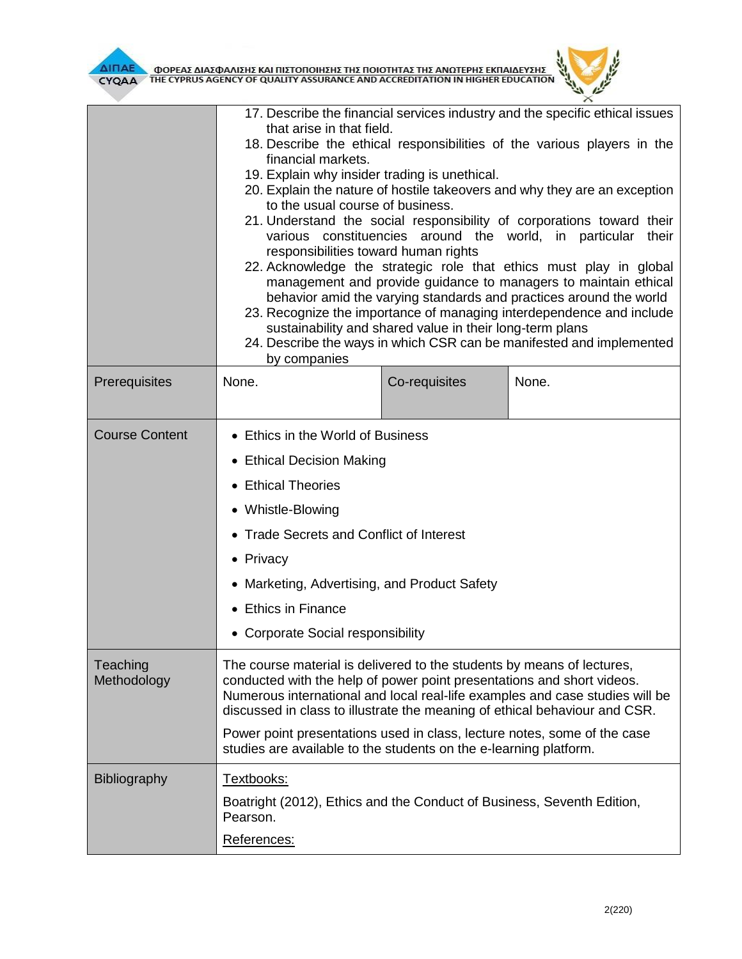

|                         | 17. Describe the financial services industry and the specific ethical issues<br>that arise in that field.<br>18. Describe the ethical responsibilities of the various players in the<br>financial markets.<br>19. Explain why insider trading is unethical.<br>20. Explain the nature of hostile takeovers and why they are an exception<br>to the usual course of business.<br>21. Understand the social responsibility of corporations toward their<br>various constituencies around the world, in particular their<br>responsibilities toward human rights<br>22. Acknowledge the strategic role that ethics must play in global<br>management and provide guidance to managers to maintain ethical<br>behavior amid the varying standards and practices around the world<br>23. Recognize the importance of managing interdependence and include<br>sustainability and shared value in their long-term plans<br>24. Describe the ways in which CSR can be manifested and implemented<br>by companies |               |       |  |  |
|-------------------------|----------------------------------------------------------------------------------------------------------------------------------------------------------------------------------------------------------------------------------------------------------------------------------------------------------------------------------------------------------------------------------------------------------------------------------------------------------------------------------------------------------------------------------------------------------------------------------------------------------------------------------------------------------------------------------------------------------------------------------------------------------------------------------------------------------------------------------------------------------------------------------------------------------------------------------------------------------------------------------------------------------|---------------|-------|--|--|
| Prerequisites           | None.                                                                                                                                                                                                                                                                                                                                                                                                                                                                                                                                                                                                                                                                                                                                                                                                                                                                                                                                                                                                    | Co-requisites | None. |  |  |
| <b>Course Content</b>   | • Ethics in the World of Business<br>• Ethical Decision Making<br>• Ethical Theories<br>• Whistle-Blowing<br>• Trade Secrets and Conflict of Interest<br>• Privacy<br>• Marketing, Advertising, and Product Safety<br>• Ethics in Finance<br>• Corporate Social responsibility                                                                                                                                                                                                                                                                                                                                                                                                                                                                                                                                                                                                                                                                                                                           |               |       |  |  |
| Teaching<br>Methodology | The course material is delivered to the students by means of lectures,<br>conducted with the help of power point presentations and short videos.<br>Numerous international and local real-life examples and case studies will be<br>discussed in class to illustrate the meaning of ethical behaviour and CSR.<br>Power point presentations used in class, lecture notes, some of the case<br>studies are available to the students on the e-learning platform.                                                                                                                                                                                                                                                                                                                                                                                                                                                                                                                                          |               |       |  |  |
| <b>Bibliography</b>     | Textbooks:<br>Boatright (2012), Ethics and the Conduct of Business, Seventh Edition,<br>Pearson.<br>References:                                                                                                                                                                                                                                                                                                                                                                                                                                                                                                                                                                                                                                                                                                                                                                                                                                                                                          |               |       |  |  |

 $\theta$